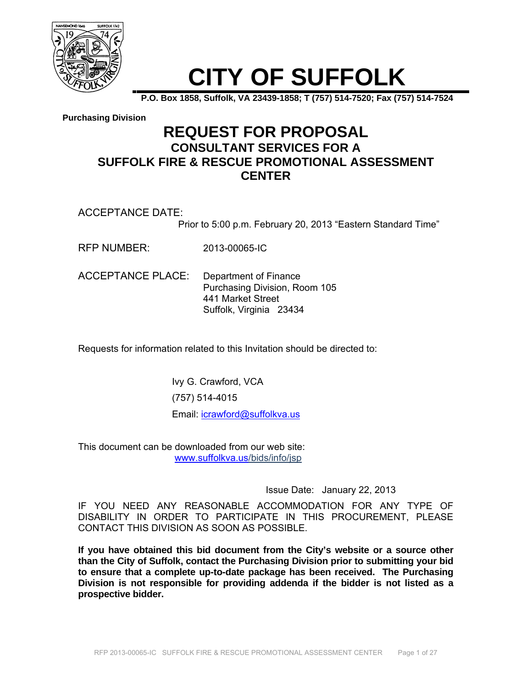

# **CITY OF SUFFOLK**

**P.O. Box 1858, Suffolk, VA 23439-1858; T (757) 514-7520; Fax (757) 514-7524** 

**Purchasing Division**

### **REQUEST FOR PROPOSAL CONSULTANT SERVICES FOR A SUFFOLK FIRE & RESCUE PROMOTIONAL ASSESSMENT CENTER**

ACCEPTANCE DATE:

Prior to 5:00 p.m. February 20, 2013 "Eastern Standard Time"

RFP NUMBER: 2013-00065-IC

ACCEPTANCE PLACE: Department of Finance Purchasing Division, Room 105 441 Market Street Suffolk, Virginia 23434

Requests for information related to this Invitation should be directed to:

Ivy G. Crawford, VCA (757) 514-4015 Email: icrawford@suffolkva.us

This document can be downloaded from our web site: www.suffolkva.us/bids/info/jsp

Issue Date: January 22, 2013

IF YOU NEED ANY REASONABLE ACCOMMODATION FOR ANY TYPE OF DISABILITY IN ORDER TO PARTICIPATE IN THIS PROCUREMENT, PLEASE CONTACT THIS DIVISION AS SOON AS POSSIBLE.

**If you have obtained this bid document from the City's website or a source other than the City of Suffolk, contact the Purchasing Division prior to submitting your bid to ensure that a complete up-to-date package has been received. The Purchasing Division is not responsible for providing addenda if the bidder is not listed as a prospective bidder.**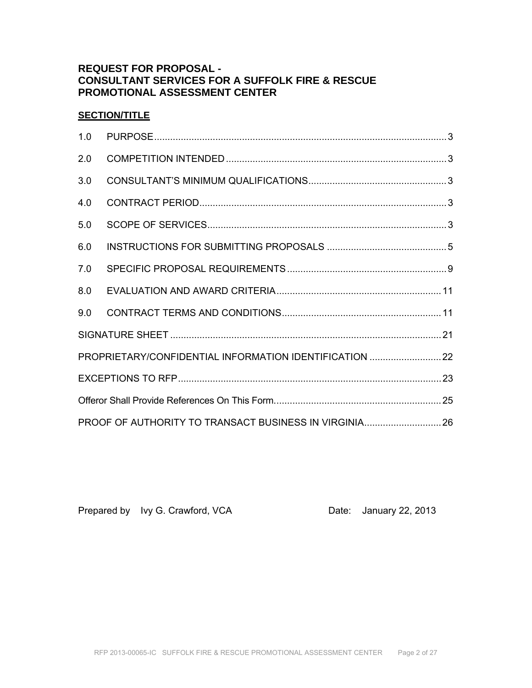### **REQUEST FOR PROPOSAL - CONSULTANT SERVICES FOR A SUFFOLK FIRE & RESCUE PROMOTIONAL ASSESSMENT CENTER**

### **SECTION/TITLE**

| 1.0 |                                                         |  |
|-----|---------------------------------------------------------|--|
| 2.0 |                                                         |  |
| 3.0 |                                                         |  |
| 4.0 |                                                         |  |
| 5.0 |                                                         |  |
| 6.0 |                                                         |  |
| 7.0 |                                                         |  |
| 8.0 |                                                         |  |
| 9.0 |                                                         |  |
|     |                                                         |  |
|     | PROPRIETARY/CONFIDENTIAL INFORMATION IDENTIFICATION  22 |  |
|     |                                                         |  |
|     |                                                         |  |
|     |                                                         |  |

Prepared by Ivy G. Crawford, VCA Date: January 22, 2013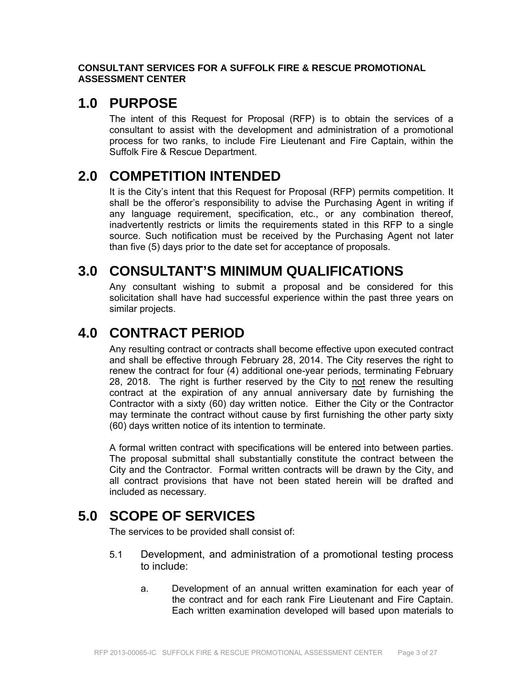### **CONSULTANT SERVICES FOR A SUFFOLK FIRE & RESCUE PROMOTIONAL ASSESSMENT CENTER**

### **1.0 PURPOSE**

The intent of this Request for Proposal (RFP) is to obtain the services of a consultant to assist with the development and administration of a promotional process for two ranks, to include Fire Lieutenant and Fire Captain, within the Suffolk Fire & Rescue Department.

# **2.0 COMPETITION INTENDED**

It is the City's intent that this Request for Proposal (RFP) permits competition. It shall be the offeror's responsibility to advise the Purchasing Agent in writing if any language requirement, specification, etc., or any combination thereof, inadvertently restricts or limits the requirements stated in this RFP to a single source. Such notification must be received by the Purchasing Agent not later than five (5) days prior to the date set for acceptance of proposals.

# **3.0 CONSULTANT'S MINIMUM QUALIFICATIONS**

Any consultant wishing to submit a proposal and be considered for this solicitation shall have had successful experience within the past three years on similar projects.

# **4.0 CONTRACT PERIOD**

Any resulting contract or contracts shall become effective upon executed contract and shall be effective through February 28, 2014. The City reserves the right to renew the contract for four (4) additional one-year periods, terminating February 28, 2018. The right is further reserved by the City to not renew the resulting contract at the expiration of any annual anniversary date by furnishing the Contractor with a sixty (60) day written notice. Either the City or the Contractor may terminate the contract without cause by first furnishing the other party sixty (60) days written notice of its intention to terminate.

A formal written contract with specifications will be entered into between parties. The proposal submittal shall substantially constitute the contract between the City and the Contractor. Formal written contracts will be drawn by the City, and all contract provisions that have not been stated herein will be drafted and included as necessary.

# **5.0 SCOPE OF SERVICES**

The services to be provided shall consist of:

- 5.1 Development, and administration of a promotional testing process to include:
	- a. Development of an annual written examination for each year of the contract and for each rank Fire Lieutenant and Fire Captain. Each written examination developed will based upon materials to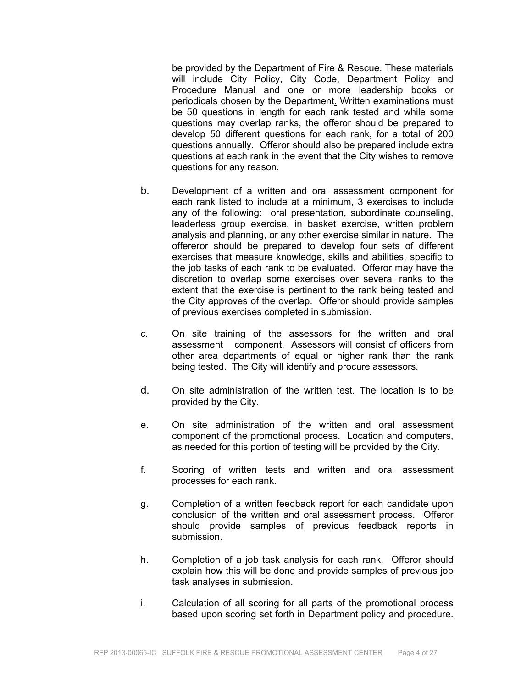be provided by the Department of Fire & Rescue. These materials will include City Policy, City Code, Department Policy and Procedure Manual and one or more leadership books or periodicals chosen by the Department. Written examinations must be 50 questions in length for each rank tested and while some questions may overlap ranks, the offeror should be prepared to develop 50 different questions for each rank, for a total of 200 questions annually. Offeror should also be prepared include extra questions at each rank in the event that the City wishes to remove questions for any reason.

- b. Development of a written and oral assessment component for each rank listed to include at a minimum, 3 exercises to include any of the following: oral presentation, subordinate counseling, leaderless group exercise, in basket exercise, written problem analysis and planning, or any other exercise similar in nature. The offereror should be prepared to develop four sets of different exercises that measure knowledge, skills and abilities, specific to the job tasks of each rank to be evaluated. Offeror may have the discretion to overlap some exercises over several ranks to the extent that the exercise is pertinent to the rank being tested and the City approves of the overlap. Offeror should provide samples of previous exercises completed in submission.
- c. On site training of the assessors for the written and oral assessment component. Assessors will consist of officers from other area departments of equal or higher rank than the rank being tested. The City will identify and procure assessors.
- d. On site administration of the written test. The location is to be provided by the City.
- e. On site administration of the written and oral assessment component of the promotional process. Location and computers, as needed for this portion of testing will be provided by the City.
- f. Scoring of written tests and written and oral assessment processes for each rank.
- g. Completion of a written feedback report for each candidate upon conclusion of the written and oral assessment process. Offeror should provide samples of previous feedback reports in submission.
- h. Completion of a job task analysis for each rank. Offeror should explain how this will be done and provide samples of previous job task analyses in submission.
- i. Calculation of all scoring for all parts of the promotional process based upon scoring set forth in Department policy and procedure.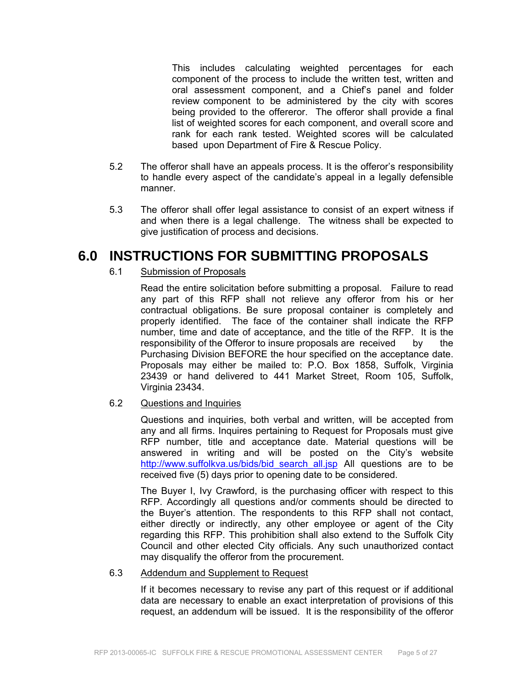This includes calculating weighted percentages for each component of the process to include the written test, written and oral assessment component, and a Chief's panel and folder review component to be administered by the city with scores being provided to the offereror. The offeror shall provide a final list of weighted scores for each component, and overall score and rank for each rank tested. Weighted scores will be calculated based upon Department of Fire & Rescue Policy.

- 5.2 The offeror shall have an appeals process. It is the offeror's responsibility to handle every aspect of the candidate's appeal in a legally defensible manner.
- 5.3 The offeror shall offer legal assistance to consist of an expert witness if and when there is a legal challenge. The witness shall be expected to give justification of process and decisions.

# **6.0 INSTRUCTIONS FOR SUBMITTING PROPOSALS**

### 6.1 Submission of Proposals

 Read the entire solicitation before submitting a proposal. Failure to read any part of this RFP shall not relieve any offeror from his or her contractual obligations. Be sure proposal container is completely and properly identified. The face of the container shall indicate the RFP number, time and date of acceptance, and the title of the RFP. It is the responsibility of the Offeror to insure proposals are received by the Purchasing Division BEFORE the hour specified on the acceptance date. Proposals may either be mailed to: P.O. Box 1858, Suffolk, Virginia 23439 or hand delivered to 441 Market Street, Room 105, Suffolk, Virginia 23434.

### 6.2 Questions and Inquiries

 Questions and inquiries, both verbal and written, will be accepted from any and all firms. Inquires pertaining to Request for Proposals must give RFP number, title and acceptance date. Material questions will be answered in writing and will be posted on the City's website http://www.suffolkva.us/bids/bid search all.jsp All questions are to be received five (5) days prior to opening date to be considered.

 The Buyer I, Ivy Crawford, is the purchasing officer with respect to this RFP. Accordingly all questions and/or comments should be directed to the Buyer's attention. The respondents to this RFP shall not contact, either directly or indirectly, any other employee or agent of the City regarding this RFP. This prohibition shall also extend to the Suffolk City Council and other elected City officials. Any such unauthorized contact may disqualify the offeror from the procurement.

### 6.3 Addendum and Supplement to Request

 If it becomes necessary to revise any part of this request or if additional data are necessary to enable an exact interpretation of provisions of this request, an addendum will be issued. It is the responsibility of the offeror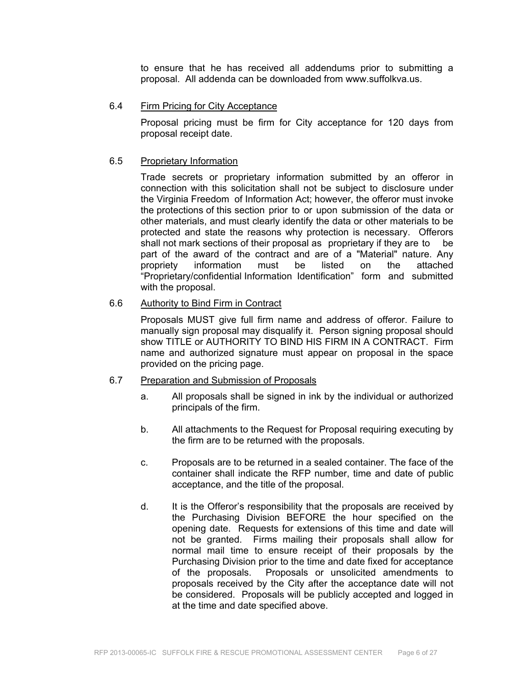to ensure that he has received all addendums prior to submitting a proposal. All addenda can be downloaded from www.suffolkva.us.

#### 6.4 Firm Pricing for City Acceptance

 Proposal pricing must be firm for City acceptance for 120 days from proposal receipt date.

#### 6.5 Proprietary Information

 Trade secrets or proprietary information submitted by an offeror in connection with this solicitation shall not be subject to disclosure under the Virginia Freedom of Information Act; however, the offeror must invoke the protections of this section prior to or upon submission of the data or other materials, and must clearly identify the data or other materials to be protected and state the reasons why protection is necessary. Offerors shall not mark sections of their proposal as proprietary if they are to be part of the award of the contract and are of a "Material" nature. Any propriety information must be listed on the attached "Proprietary/confidential Information Identification" form and submitted with the proposal.

#### 6.6 Authority to Bind Firm in Contract

 Proposals MUST give full firm name and address of offeror. Failure to manually sign proposal may disqualify it. Person signing proposal should show TITLE or AUTHORITY TO BIND HIS FIRM IN A CONTRACT. Firm name and authorized signature must appear on proposal in the space provided on the pricing page.

#### 6.7 Preparation and Submission of Proposals

- a. All proposals shall be signed in ink by the individual or authorized principals of the firm.
- b. All attachments to the Request for Proposal requiring executing by the firm are to be returned with the proposals.
- c. Proposals are to be returned in a sealed container. The face of the container shall indicate the RFP number, time and date of public acceptance, and the title of the proposal.
- d. It is the Offeror's responsibility that the proposals are received by the Purchasing Division BEFORE the hour specified on the opening date. Requests for extensions of this time and date will not be granted. Firms mailing their proposals shall allow for normal mail time to ensure receipt of their proposals by the Purchasing Division prior to the time and date fixed for acceptance of the proposals. Proposals or unsolicited amendments to proposals received by the City after the acceptance date will not be considered. Proposals will be publicly accepted and logged in at the time and date specified above.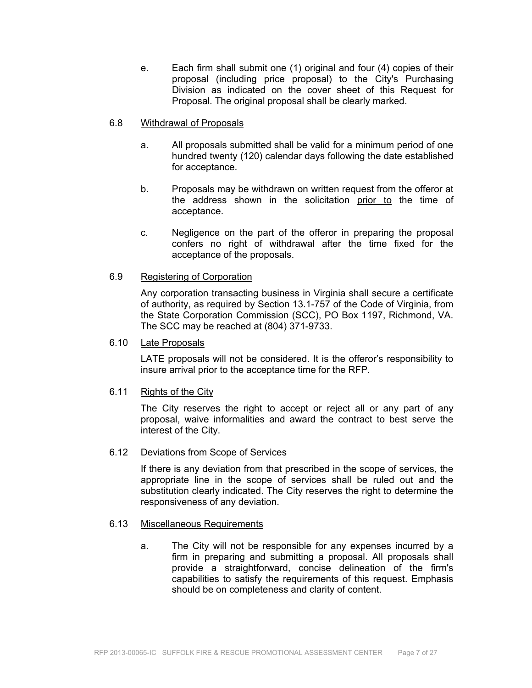e. Each firm shall submit one (1) original and four (4) copies of their proposal (including price proposal) to the City's Purchasing Division as indicated on the cover sheet of this Request for Proposal. The original proposal shall be clearly marked.

#### 6.8 Withdrawal of Proposals

- a. All proposals submitted shall be valid for a minimum period of one hundred twenty (120) calendar days following the date established for acceptance.
- b. Proposals may be withdrawn on written request from the offeror at the address shown in the solicitation prior to the time of acceptance.
- c. Negligence on the part of the offeror in preparing the proposal confers no right of withdrawal after the time fixed for the acceptance of the proposals.
- 6.9 Registering of Corporation

 Any corporation transacting business in Virginia shall secure a certificate of authority, as required by Section 13.1-757 of the Code of Virginia, from the State Corporation Commission (SCC), PO Box 1197, Richmond, VA. The SCC may be reached at (804) 371-9733.

#### 6.10 Late Proposals

LATE proposals will not be considered. It is the offeror's responsibility to insure arrival prior to the acceptance time for the RFP.

### 6.11 Rights of the City

 The City reserves the right to accept or reject all or any part of any proposal, waive informalities and award the contract to best serve the interest of the City.

#### 6.12 Deviations from Scope of Services

If there is any deviation from that prescribed in the scope of services, the appropriate line in the scope of services shall be ruled out and the substitution clearly indicated. The City reserves the right to determine the responsiveness of any deviation.

#### 6.13 Miscellaneous Requirements

a. The City will not be responsible for any expenses incurred by a firm in preparing and submitting a proposal. All proposals shall provide a straightforward, concise delineation of the firm's capabilities to satisfy the requirements of this request. Emphasis should be on completeness and clarity of content.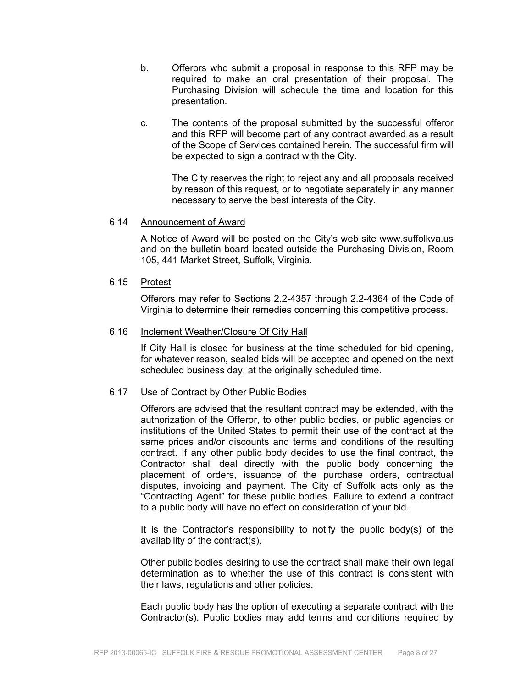- b. Offerors who submit a proposal in response to this RFP may be required to make an oral presentation of their proposal. The Purchasing Division will schedule the time and location for this presentation.
- c. The contents of the proposal submitted by the successful offeror and this RFP will become part of any contract awarded as a result of the Scope of Services contained herein. The successful firm will be expected to sign a contract with the City.

 The City reserves the right to reject any and all proposals received by reason of this request, or to negotiate separately in any manner necessary to serve the best interests of the City.

#### 6.14 Announcement of Award

 A Notice of Award will be posted on the City's web site www.suffolkva.us and on the bulletin board located outside the Purchasing Division, Room 105, 441 Market Street, Suffolk, Virginia.

#### 6.15 Protest

 Offerors may refer to Sections 2.2-4357 through 2.2-4364 of the Code of Virginia to determine their remedies concerning this competitive process.

#### 6.16 Inclement Weather/Closure Of City Hall

 If City Hall is closed for business at the time scheduled for bid opening, for whatever reason, sealed bids will be accepted and opened on the next scheduled business day, at the originally scheduled time.

#### 6.17 Use of Contract by Other Public Bodies

 Offerors are advised that the resultant contract may be extended, with the authorization of the Offeror, to other public bodies, or public agencies or institutions of the United States to permit their use of the contract at the same prices and/or discounts and terms and conditions of the resulting contract. If any other public body decides to use the final contract, the Contractor shall deal directly with the public body concerning the placement of orders, issuance of the purchase orders, contractual disputes, invoicing and payment. The City of Suffolk acts only as the "Contracting Agent" for these public bodies. Failure to extend a contract to a public body will have no effect on consideration of your bid.

 It is the Contractor's responsibility to notify the public body(s) of the availability of the contract(s).

 Other public bodies desiring to use the contract shall make their own legal determination as to whether the use of this contract is consistent with their laws, regulations and other policies.

 Each public body has the option of executing a separate contract with the Contractor(s). Public bodies may add terms and conditions required by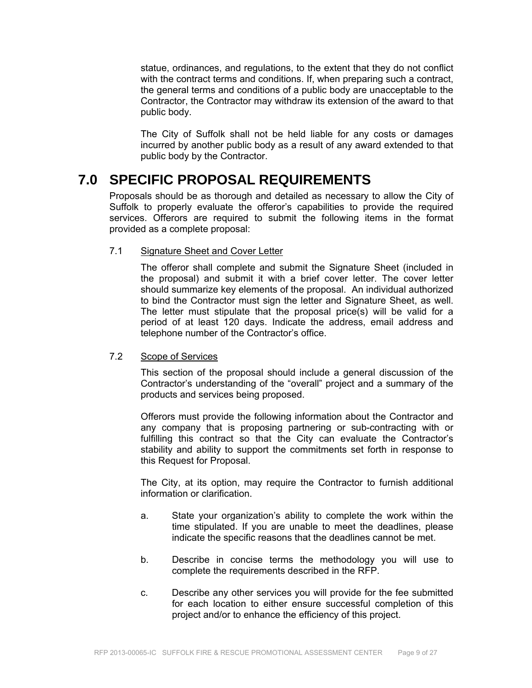statue, ordinances, and regulations, to the extent that they do not conflict with the contract terms and conditions. If, when preparing such a contract, the general terms and conditions of a public body are unacceptable to the Contractor, the Contractor may withdraw its extension of the award to that public body.

 The City of Suffolk shall not be held liable for any costs or damages incurred by another public body as a result of any award extended to that public body by the Contractor.

# **7.0 SPECIFIC PROPOSAL REQUIREMENTS**

Proposals should be as thorough and detailed as necessary to allow the City of Suffolk to properly evaluate the offeror's capabilities to provide the required services. Offerors are required to submit the following items in the format provided as a complete proposal:

### 7.1 Signature Sheet and Cover Letter

 The offeror shall complete and submit the Signature Sheet (included in the proposal) and submit it with a brief cover letter. The cover letter should summarize key elements of the proposal. An individual authorized to bind the Contractor must sign the letter and Signature Sheet, as well. The letter must stipulate that the proposal price(s) will be valid for a period of at least 120 days. Indicate the address, email address and telephone number of the Contractor's office.

#### 7.2 Scope of Services

 This section of the proposal should include a general discussion of the Contractor's understanding of the "overall" project and a summary of the products and services being proposed.

Offerors must provide the following information about the Contractor and any company that is proposing partnering or sub-contracting with or fulfilling this contract so that the City can evaluate the Contractor's stability and ability to support the commitments set forth in response to this Request for Proposal.

 The City, at its option, may require the Contractor to furnish additional information or clarification.

- a. State your organization's ability to complete the work within the time stipulated. If you are unable to meet the deadlines, please indicate the specific reasons that the deadlines cannot be met.
- b. Describe in concise terms the methodology you will use to complete the requirements described in the RFP.
- c. Describe any other services you will provide for the fee submitted for each location to either ensure successful completion of this project and/or to enhance the efficiency of this project.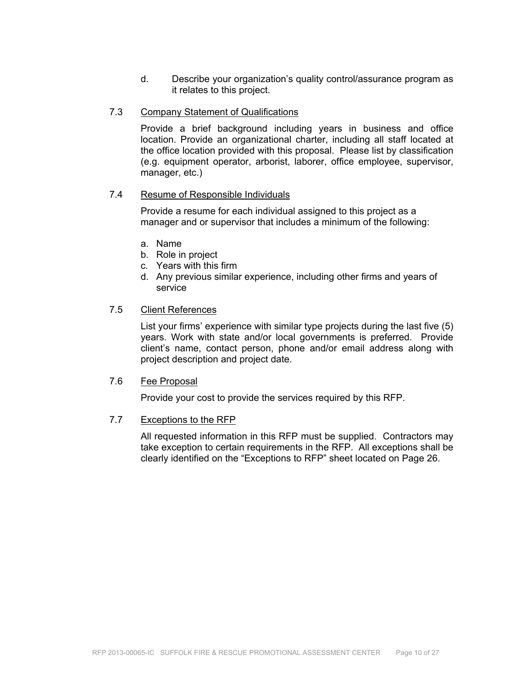d. Describe your organization's quality control/assurance program as it relates to this project.

#### 7.3 Company Statement of Qualifications

 Provide a brief background including years in business and office location. Provide an organizational charter, including all staff located at the office location provided with this proposal. Please list by classification (e.g. equipment operator, arborist, laborer, office employee, supervisor, manager, etc.)

#### 7.4 Resume of Responsible Individuals

Provide a resume for each individual assigned to this project as a manager and or supervisor that includes a minimum of the following:

- a. Name
- b. Role in project
- c. Years with this firm
- d. Any previous similar experience, including other firms and years of service

#### 7.5 Client References

 List your firms' experience with similar type projects during the last five (5) years. Work with state and/or local governments is preferred. Provide client's name, contact person, phone and/or email address along with project description and project date.

#### 7.6 Fee Proposal

Provide your cost to provide the services required by this RFP.

#### 7.7 Exceptions to the RFP

All requested information in this RFP must be supplied. Contractors may take exception to certain requirements in the RFP. All exceptions shall be clearly identified on the "Exceptions to RFP" sheet located on Page 26.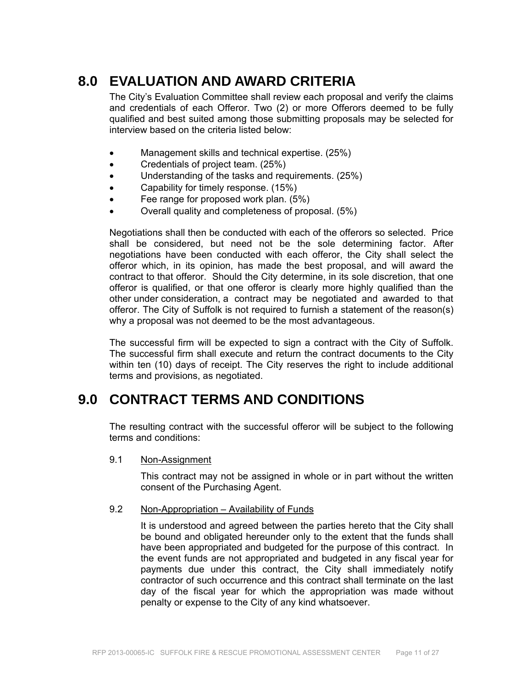# **8.0 EVALUATION AND AWARD CRITERIA**

The City's Evaluation Committee shall review each proposal and verify the claims and credentials of each Offeror. Two (2) or more Offerors deemed to be fully qualified and best suited among those submitting proposals may be selected for interview based on the criteria listed below:

- Management skills and technical expertise. (25%)
- Credentials of project team. (25%)
- Understanding of the tasks and requirements. (25%)
- Capability for timely response. (15%)
- Fee range for proposed work plan. (5%)
- Overall quality and completeness of proposal. (5%)

Negotiations shall then be conducted with each of the offerors so selected. Price shall be considered, but need not be the sole determining factor. After negotiations have been conducted with each offeror, the City shall select the offeror which, in its opinion, has made the best proposal, and will award the contract to that offeror. Should the City determine, in its sole discretion, that one offeror is qualified, or that one offeror is clearly more highly qualified than the other under consideration, a contract may be negotiated and awarded to that offeror. The City of Suffolk is not required to furnish a statement of the reason(s) why a proposal was not deemed to be the most advantageous.

The successful firm will be expected to sign a contract with the City of Suffolk. The successful firm shall execute and return the contract documents to the City within ten (10) days of receipt. The City reserves the right to include additional terms and provisions, as negotiated.

## **9.0 CONTRACT TERMS AND CONDITIONS**

The resulting contract with the successful offeror will be subject to the following terms and conditions:

9.1 Non-Assignment

This contract may not be assigned in whole or in part without the written consent of the Purchasing Agent.

#### 9.2 Non-Appropriation – Availability of Funds

It is understood and agreed between the parties hereto that the City shall be bound and obligated hereunder only to the extent that the funds shall have been appropriated and budgeted for the purpose of this contract. In the event funds are not appropriated and budgeted in any fiscal year for payments due under this contract, the City shall immediately notify contractor of such occurrence and this contract shall terminate on the last day of the fiscal year for which the appropriation was made without penalty or expense to the City of any kind whatsoever.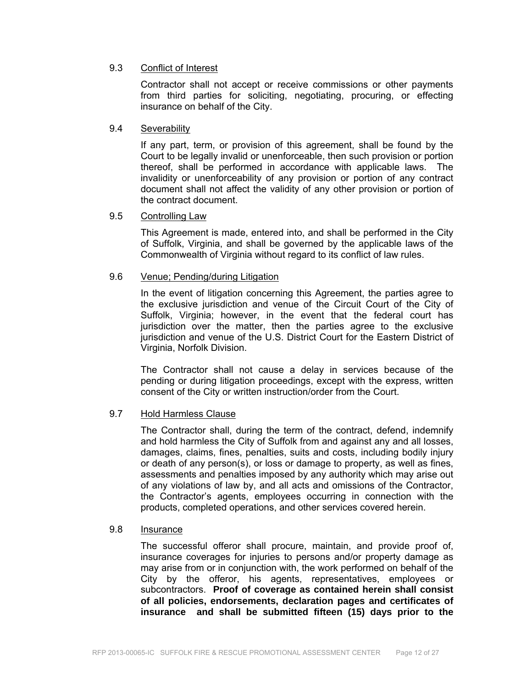### 9.3 Conflict of Interest

Contractor shall not accept or receive commissions or other payments from third parties for soliciting, negotiating, procuring, or effecting insurance on behalf of the City.

#### 9.4 Severability

If any part, term, or provision of this agreement, shall be found by the Court to be legally invalid or unenforceable, then such provision or portion thereof, shall be performed in accordance with applicable laws. The invalidity or unenforceability of any provision or portion of any contract document shall not affect the validity of any other provision or portion of the contract document.

#### 9.5 Controlling Law

This Agreement is made, entered into, and shall be performed in the City of Suffolk, Virginia, and shall be governed by the applicable laws of the Commonwealth of Virginia without regard to its conflict of law rules.

#### 9.6 Venue; Pending/during Litigation

In the event of litigation concerning this Agreement, the parties agree to the exclusive jurisdiction and venue of the Circuit Court of the City of Suffolk, Virginia; however, in the event that the federal court has jurisdiction over the matter, then the parties agree to the exclusive jurisdiction and venue of the U.S. District Court for the Eastern District of Virginia, Norfolk Division.

The Contractor shall not cause a delay in services because of the pending or during litigation proceedings, except with the express, written consent of the City or written instruction/order from the Court.

#### 9.7 Hold Harmless Clause

 The Contractor shall, during the term of the contract, defend, indemnify and hold harmless the City of Suffolk from and against any and all losses, damages, claims, fines, penalties, suits and costs, including bodily injury or death of any person(s), or loss or damage to property, as well as fines, assessments and penalties imposed by any authority which may arise out of any violations of law by, and all acts and omissions of the Contractor, the Contractor's agents, employees occurring in connection with the products, completed operations, and other services covered herein.

#### 9.8 Insurance

The successful offeror shall procure, maintain, and provide proof of, insurance coverages for injuries to persons and/or property damage as may arise from or in conjunction with, the work performed on behalf of the City by the offeror, his agents, representatives, employees or subcontractors. **Proof of coverage as contained herein shall consist of all policies, endorsements, declaration pages and certificates of insurance and shall be submitted fifteen (15) days prior to the**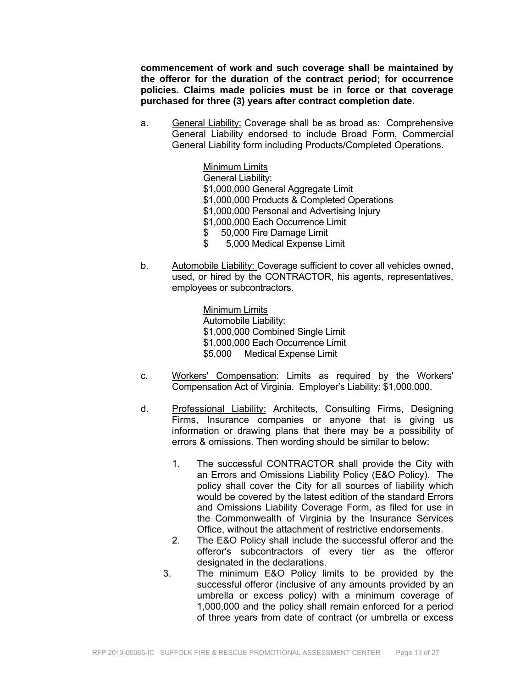**commencement of work and such coverage shall be maintained by the offeror for the duration of the contract period; for occurrence policies. Claims made policies must be in force or that coverage purchased for three (3) years after contract completion date.** 

- a. General Liability: Coverage shall be as broad as: Comprehensive General Liability endorsed to include Broad Form, Commercial General Liability form including Products/Completed Operations.
	- Minimum Limits General Liability: \$1,000,000 General Aggregate Limit \$1,000,000 Products & Completed Operations \$1,000,000 Personal and Advertising Injury \$1,000,000 Each Occurrence Limit \$ 50,000 Fire Damage Limit
	- \$ 5,000 Medical Expense Limit
- b. Automobile Liability: Coverage sufficient to cover all vehicles owned, used, or hired by the CONTRACTOR, his agents, representatives, employees or subcontractors.

 Minimum Limits Automobile Liability: \$1,000,000 Combined Single Limit \$1,000,000 Each Occurrence Limit \$5,000 Medical Expense Limit

- c. Workers' Compensation: Limits as required by the Workers' Compensation Act of Virginia. Employer's Liability: \$1,000,000.
- d. Professional Liability: Architects, Consulting Firms, Designing Firms, Insurance companies or anyone that is giving us information or drawing plans that there may be a possibility of errors & omissions. Then wording should be similar to below:
	- 1. The successful CONTRACTOR shall provide the City with an Errors and Omissions Liability Policy (E&O Policy). The policy shall cover the City for all sources of liability which would be covered by the latest edition of the standard Errors and Omissions Liability Coverage Form, as filed for use in the Commonwealth of Virginia by the Insurance Services Office, without the attachment of restrictive endorsements.
	- 2. The E&O Policy shall include the successful offeror and the offeror's subcontractors of every tier as the offeror designated in the declarations.
	- 3. The minimum E&O Policy limits to be provided by the successful offeror (inclusive of any amounts provided by an umbrella or excess policy) with a minimum coverage of 1,000,000 and the policy shall remain enforced for a period of three years from date of contract (or umbrella or excess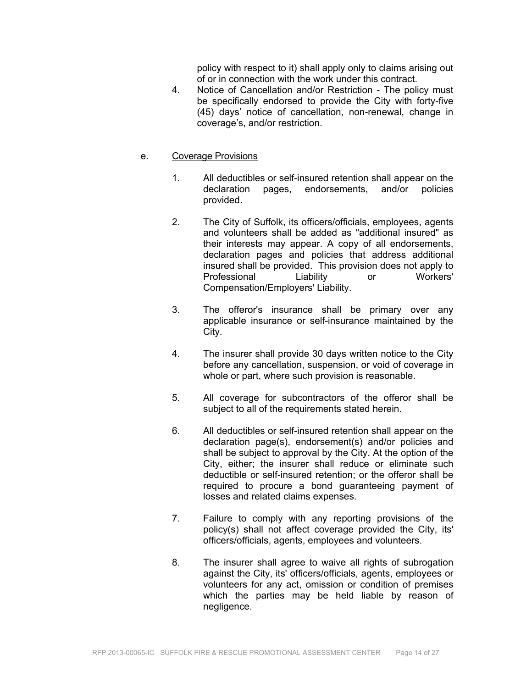policy with respect to it) shall apply only to claims arising out of or in connection with the work under this contract.

- 4. Notice of Cancellation and/or Restriction The policy must be specifically endorsed to provide the City with forty-five (45) days' notice of cancellation, non-renewal, change in coverage's, and/or restriction.
- e. Coverage Provisions
	- 1. All deductibles or self-insured retention shall appear on the declaration pages, endorsements, and/or policies provided.
	- 2. The City of Suffolk, its officers/officials, employees, agents and volunteers shall be added as "additional insured" as their interests may appear. A copy of all endorsements, declaration pages and policies that address additional insured shall be provided. This provision does not apply to Professional Liability or Workers' Compensation/Employers' Liability.
	- 3. The offeror's insurance shall be primary over any applicable insurance or self-insurance maintained by the City.
	- 4. The insurer shall provide 30 days written notice to the City before any cancellation, suspension, or void of coverage in whole or part, where such provision is reasonable.
	- 5. All coverage for subcontractors of the offeror shall be subject to all of the requirements stated herein.
	- 6. All deductibles or self-insured retention shall appear on the declaration page(s), endorsement(s) and/or policies and shall be subject to approval by the City. At the option of the City, either; the insurer shall reduce or eliminate such deductible or self-insured retention; or the offeror shall be required to procure a bond guaranteeing payment of losses and related claims expenses.
	- 7. Failure to comply with any reporting provisions of the policy(s) shall not affect coverage provided the City, its' officers/officials, agents, employees and volunteers.
	- 8. The insurer shall agree to waive all rights of subrogation against the City, its' officers/officials, agents, employees or volunteers for any act, omission or condition of premises which the parties may be held liable by reason of negligence.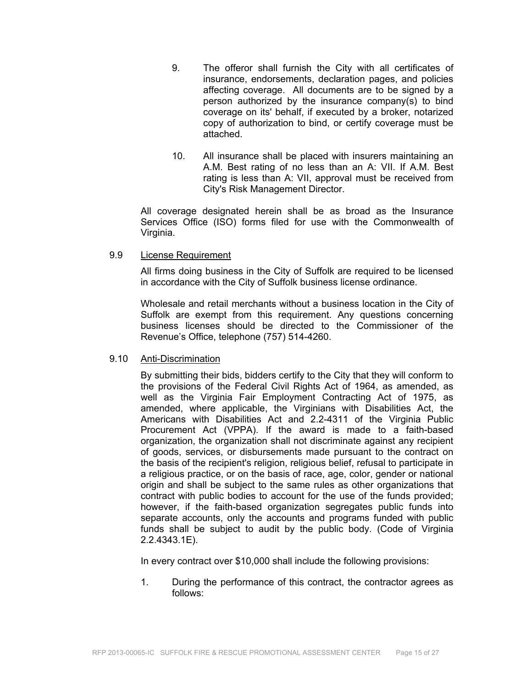- 9. The offeror shall furnish the City with all certificates of insurance, endorsements, declaration pages, and policies affecting coverage. All documents are to be signed by a person authorized by the insurance company(s) to bind coverage on its' behalf, if executed by a broker, notarized copy of authorization to bind, or certify coverage must be attached.
- 10. All insurance shall be placed with insurers maintaining an A.M. Best rating of no less than an A: VII. If A.M. Best rating is less than A: VII, approval must be received from City's Risk Management Director.

All coverage designated herein shall be as broad as the Insurance Services Office (ISO) forms filed for use with the Commonwealth of Virginia.

### 9.9 License Requirement

All firms doing business in the City of Suffolk are required to be licensed in accordance with the City of Suffolk business license ordinance.

Wholesale and retail merchants without a business location in the City of Suffolk are exempt from this requirement. Any questions concerning business licenses should be directed to the Commissioner of the Revenue's Office, telephone (757) 514-4260.

#### 9.10 Anti-Discrimination

By submitting their bids, bidders certify to the City that they will conform to the provisions of the Federal Civil Rights Act of 1964, as amended, as well as the Virginia Fair Employment Contracting Act of 1975, as amended, where applicable, the Virginians with Disabilities Act, the Americans with Disabilities Act and 2.2-4311 of the Virginia Public Procurement Act (VPPA). If the award is made to a faith-based organization, the organization shall not discriminate against any recipient of goods, services, or disbursements made pursuant to the contract on the basis of the recipient's religion, religious belief, refusal to participate in a religious practice, or on the basis of race, age, color, gender or national origin and shall be subject to the same rules as other organizations that contract with public bodies to account for the use of the funds provided; however, if the faith-based organization segregates public funds into separate accounts, only the accounts and programs funded with public funds shall be subject to audit by the public body. (Code of Virginia 2.2.4343.1E).

In every contract over \$10,000 shall include the following provisions:

1. During the performance of this contract, the contractor agrees as follows: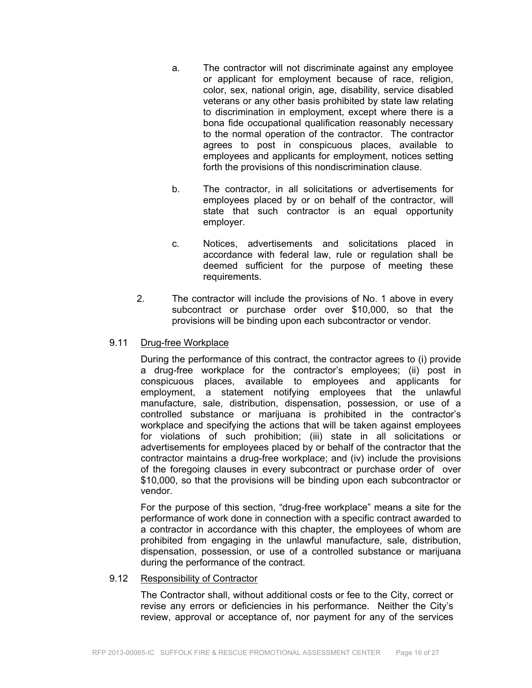- a. The contractor will not discriminate against any employee or applicant for employment because of race, religion, color, sex, national origin, age, disability, service disabled veterans or any other basis prohibited by state law relating to discrimination in employment, except where there is a bona fide occupational qualification reasonably necessary to the normal operation of the contractor. The contractor agrees to post in conspicuous places, available to employees and applicants for employment, notices setting forth the provisions of this nondiscrimination clause.
- b. The contractor, in all solicitations or advertisements for employees placed by or on behalf of the contractor, will state that such contractor is an equal opportunity employer.
- c. Notices, advertisements and solicitations placed in accordance with federal law, rule or regulation shall be deemed sufficient for the purpose of meeting these requirements.
- 2. The contractor will include the provisions of No. 1 above in every subcontract or purchase order over \$10,000, so that the provisions will be binding upon each subcontractor or vendor.

### 9.11 Drug-free Workplace

During the performance of this contract, the contractor agrees to (i) provide a drug-free workplace for the contractor's employees; (ii) post in conspicuous places, available to employees and applicants for employment, a statement notifying employees that the unlawful manufacture, sale, distribution, dispensation, possession, or use of a controlled substance or marijuana is prohibited in the contractor's workplace and specifying the actions that will be taken against employees for violations of such prohibition; (iii) state in all solicitations or advertisements for employees placed by or behalf of the contractor that the contractor maintains a drug-free workplace; and (iv) include the provisions of the foregoing clauses in every subcontract or purchase order of over \$10,000, so that the provisions will be binding upon each subcontractor or vendor.

For the purpose of this section, "drug-free workplace" means a site for the performance of work done in connection with a specific contract awarded to a contractor in accordance with this chapter, the employees of whom are prohibited from engaging in the unlawful manufacture, sale, distribution, dispensation, possession, or use of a controlled substance or marijuana during the performance of the contract.

### 9.12 Responsibility of Contractor

The Contractor shall, without additional costs or fee to the City, correct or revise any errors or deficiencies in his performance. Neither the City's review, approval or acceptance of, nor payment for any of the services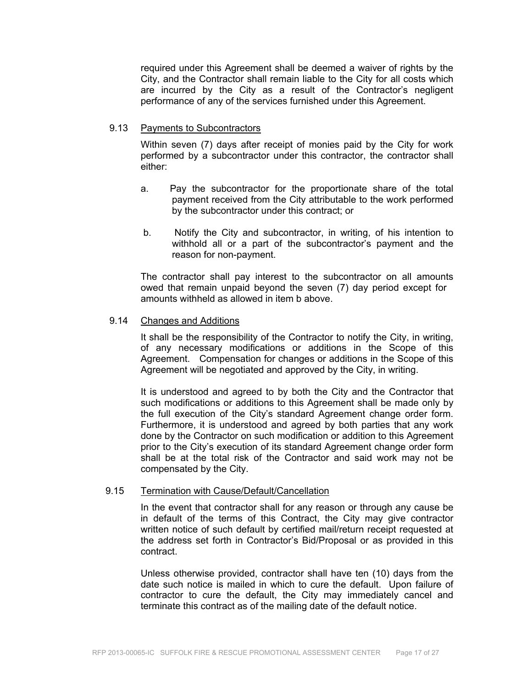required under this Agreement shall be deemed a waiver of rights by the City, and the Contractor shall remain liable to the City for all costs which are incurred by the City as a result of the Contractor's negligent performance of any of the services furnished under this Agreement.

#### 9.13 Payments to Subcontractors

Within seven (7) days after receipt of monies paid by the City for work performed by a subcontractor under this contractor, the contractor shall either:

- a. Pay the subcontractor for the proportionate share of the total payment received from the City attributable to the work performed by the subcontractor under this contract; or
- b. Notify the City and subcontractor, in writing, of his intention to withhold all or a part of the subcontractor's payment and the reason for non-payment.

The contractor shall pay interest to the subcontractor on all amounts owed that remain unpaid beyond the seven (7) day period except for amounts withheld as allowed in item b above.

#### 9.14 Changes and Additions

It shall be the responsibility of the Contractor to notify the City, in writing, of any necessary modifications or additions in the Scope of this Agreement. Compensation for changes or additions in the Scope of this Agreement will be negotiated and approved by the City, in writing.

It is understood and agreed to by both the City and the Contractor that such modifications or additions to this Agreement shall be made only by the full execution of the City's standard Agreement change order form. Furthermore, it is understood and agreed by both parties that any work done by the Contractor on such modification or addition to this Agreement prior to the City's execution of its standard Agreement change order form shall be at the total risk of the Contractor and said work may not be compensated by the City.

#### 9.15 Termination with Cause/Default/Cancellation

In the event that contractor shall for any reason or through any cause be in default of the terms of this Contract, the City may give contractor written notice of such default by certified mail/return receipt requested at the address set forth in Contractor's Bid/Proposal or as provided in this contract.

Unless otherwise provided, contractor shall have ten (10) days from the date such notice is mailed in which to cure the default. Upon failure of contractor to cure the default, the City may immediately cancel and terminate this contract as of the mailing date of the default notice.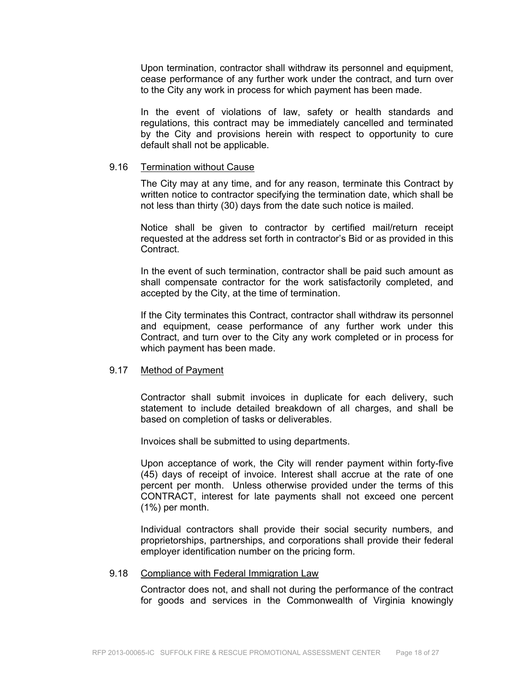Upon termination, contractor shall withdraw its personnel and equipment, cease performance of any further work under the contract, and turn over to the City any work in process for which payment has been made.

In the event of violations of law, safety or health standards and regulations, this contract may be immediately cancelled and terminated by the City and provisions herein with respect to opportunity to cure default shall not be applicable.

#### 9.16 Termination without Cause

The City may at any time, and for any reason, terminate this Contract by written notice to contractor specifying the termination date, which shall be not less than thirty (30) days from the date such notice is mailed.

Notice shall be given to contractor by certified mail/return receipt requested at the address set forth in contractor's Bid or as provided in this Contract.

In the event of such termination, contractor shall be paid such amount as shall compensate contractor for the work satisfactorily completed, and accepted by the City, at the time of termination.

If the City terminates this Contract, contractor shall withdraw its personnel and equipment, cease performance of any further work under this Contract, and turn over to the City any work completed or in process for which payment has been made.

#### 9.17 Method of Payment

Contractor shall submit invoices in duplicate for each delivery, such statement to include detailed breakdown of all charges, and shall be based on completion of tasks or deliverables.

Invoices shall be submitted to using departments.

Upon acceptance of work, the City will render payment within forty-five (45) days of receipt of invoice. Interest shall accrue at the rate of one percent per month. Unless otherwise provided under the terms of this CONTRACT, interest for late payments shall not exceed one percent (1%) per month.

Individual contractors shall provide their social security numbers, and proprietorships, partnerships, and corporations shall provide their federal employer identification number on the pricing form.

#### 9.18 Compliance with Federal Immigration Law

Contractor does not, and shall not during the performance of the contract for goods and services in the Commonwealth of Virginia knowingly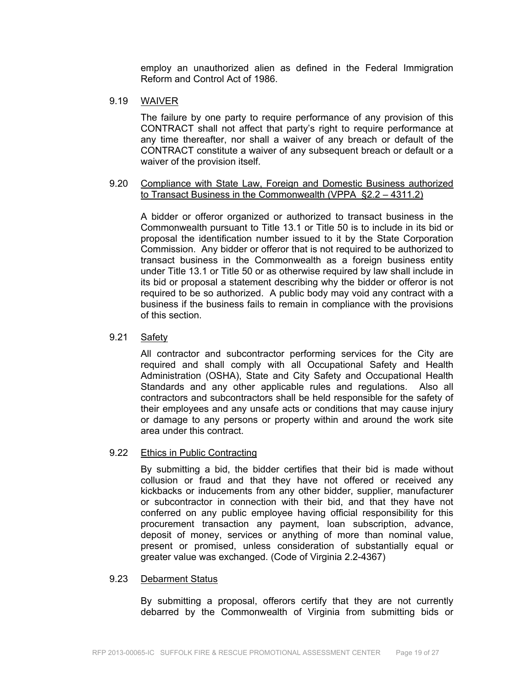employ an unauthorized alien as defined in the Federal Immigration Reform and Control Act of 1986.

### 9.19 WAIVER

The failure by one party to require performance of any provision of this CONTRACT shall not affect that party's right to require performance at any time thereafter, nor shall a waiver of any breach or default of the CONTRACT constitute a waiver of any subsequent breach or default or a waiver of the provision itself.

#### 9.20 Compliance with State Law, Foreign and Domestic Business authorized to Transact Business in the Commonwealth (VPPA §2.2 – 4311.2)

A bidder or offeror organized or authorized to transact business in the Commonwealth pursuant to Title 13.1 or Title 50 is to include in its bid or proposal the identification number issued to it by the State Corporation Commission. Any bidder or offeror that is not required to be authorized to transact business in the Commonwealth as a foreign business entity under Title 13.1 or Title 50 or as otherwise required by law shall include in its bid or proposal a statement describing why the bidder or offeror is not required to be so authorized. A public body may void any contract with a business if the business fails to remain in compliance with the provisions of this section.

### 9.21 Safety

All contractor and subcontractor performing services for the City are required and shall comply with all Occupational Safety and Health Administration (OSHA), State and City Safety and Occupational Health Standards and any other applicable rules and regulations. Also all contractors and subcontractors shall be held responsible for the safety of their employees and any unsafe acts or conditions that may cause injury or damage to any persons or property within and around the work site area under this contract.

#### 9.22 Ethics in Public Contracting

By submitting a bid, the bidder certifies that their bid is made without collusion or fraud and that they have not offered or received any kickbacks or inducements from any other bidder, supplier, manufacturer or subcontractor in connection with their bid, and that they have not conferred on any public employee having official responsibility for this procurement transaction any payment, loan subscription, advance, deposit of money, services or anything of more than nominal value, present or promised, unless consideration of substantially equal or greater value was exchanged. (Code of Virginia 2.2-4367)

#### 9.23 Debarment Status

By submitting a proposal, offerors certify that they are not currently debarred by the Commonwealth of Virginia from submitting bids or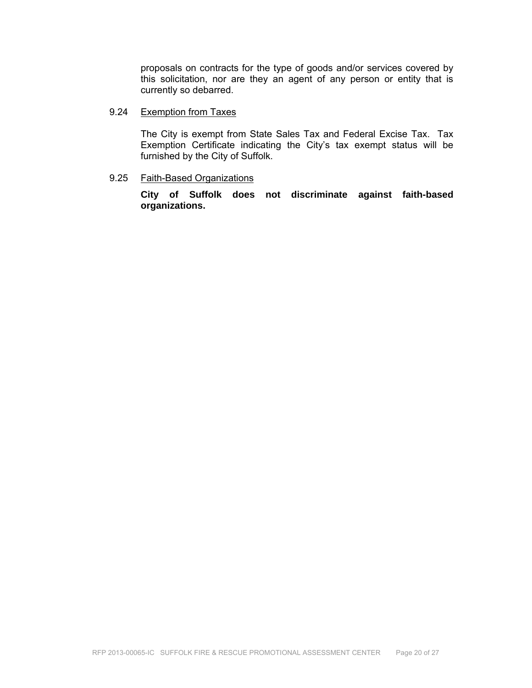proposals on contracts for the type of goods and/or services covered by this solicitation, nor are they an agent of any person or entity that is currently so debarred.

#### 9.24 Exemption from Taxes

The City is exempt from State Sales Tax and Federal Excise Tax. Tax Exemption Certificate indicating the City's tax exempt status will be furnished by the City of Suffolk.

#### 9.25 Faith-Based Organizations

**City of Suffolk does not discriminate against faith-based organizations.**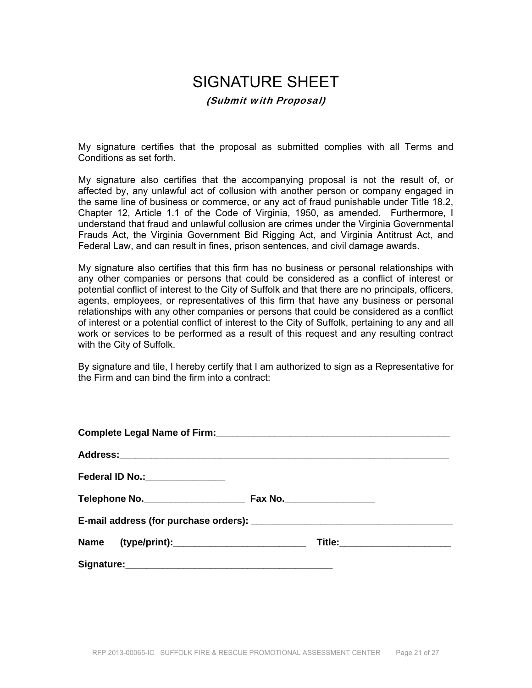# SIGNATURE SHEET

#### (Submit with Proposal)

My signature certifies that the proposal as submitted complies with all Terms and Conditions as set forth.

My signature also certifies that the accompanying proposal is not the result of, or affected by, any unlawful act of collusion with another person or company engaged in the same line of business or commerce, or any act of fraud punishable under Title 18.2, Chapter 12, Article 1.1 of the Code of Virginia, 1950, as amended. Furthermore, I understand that fraud and unlawful collusion are crimes under the Virginia Governmental Frauds Act, the Virginia Government Bid Rigging Act, and Virginia Antitrust Act, and Federal Law, and can result in fines, prison sentences, and civil damage awards.

My signature also certifies that this firm has no business or personal relationships with any other companies or persons that could be considered as a conflict of interest or potential conflict of interest to the City of Suffolk and that there are no principals, officers, agents, employees, or representatives of this firm that have any business or personal relationships with any other companies or persons that could be considered as a conflict of interest or a potential conflict of interest to the City of Suffolk, pertaining to any and all work or services to be performed as a result of this request and any resulting contract with the City of Suffolk.

By signature and tile, I hereby certify that I am authorized to sign as a Representative for the Firm and can bind the firm into a contract:

| Federal ID No.: ________________ |                               |
|----------------------------------|-------------------------------|
|                                  |                               |
|                                  |                               |
|                                  | Title:_______________________ |
|                                  |                               |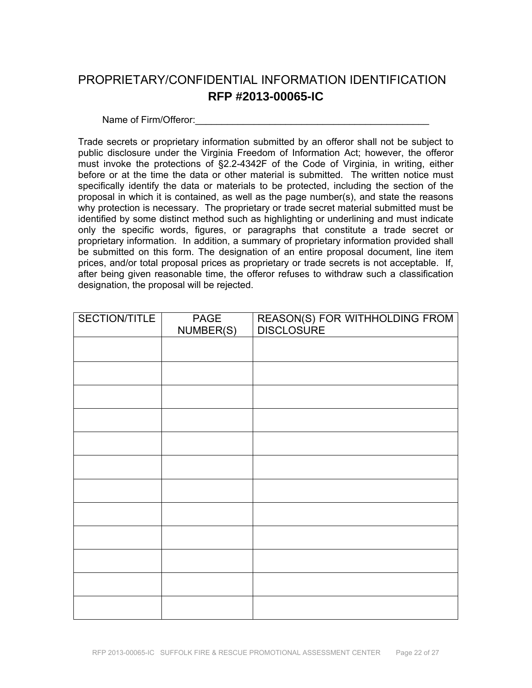# PROPRIETARY/CONFIDENTIAL INFORMATION IDENTIFICATION **RFP #2013-00065-IC**

Name of Firm/Offeror:

Trade secrets or proprietary information submitted by an offeror shall not be subject to public disclosure under the Virginia Freedom of Information Act; however, the offeror must invoke the protections of §2.2-4342F of the Code of Virginia, in writing, either before or at the time the data or other material is submitted. The written notice must specifically identify the data or materials to be protected, including the section of the proposal in which it is contained, as well as the page number(s), and state the reasons why protection is necessary. The proprietary or trade secret material submitted must be identified by some distinct method such as highlighting or underlining and must indicate only the specific words, figures, or paragraphs that constitute a trade secret or proprietary information. In addition, a summary of proprietary information provided shall be submitted on this form. The designation of an entire proposal document, line item prices, and/or total proposal prices as proprietary or trade secrets is not acceptable. If, after being given reasonable time, the offeror refuses to withdraw such a classification designation, the proposal will be rejected.

| SECTION/TITLE | <b>PAGE</b><br>NUMBER(S) | REASON(S) FOR WITHHOLDING FROM<br>DISCLOSURE |
|---------------|--------------------------|----------------------------------------------|
|               |                          |                                              |
|               |                          |                                              |
|               |                          |                                              |
|               |                          |                                              |
|               |                          |                                              |
|               |                          |                                              |
|               |                          |                                              |
|               |                          |                                              |
|               |                          |                                              |
|               |                          |                                              |
|               |                          |                                              |
|               |                          |                                              |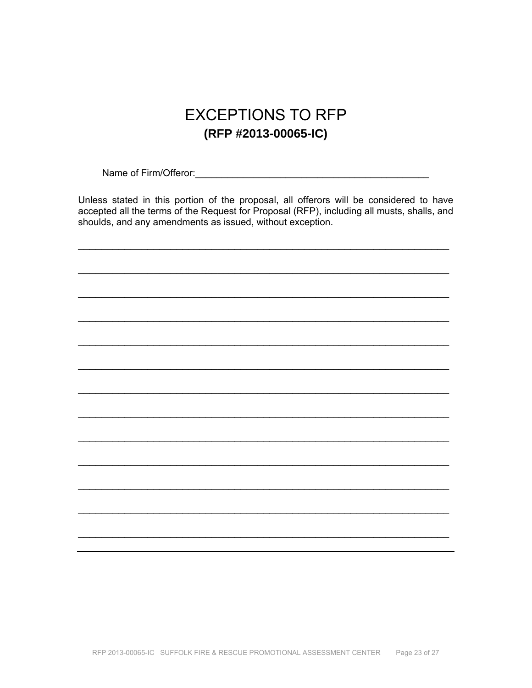# **EXCEPTIONS TO RFP** (RFP #2013-00065-IC)

Name of Firm/Offeror: Manual Account of Firm (Offeror: Manual Account of Firm (Offeror: Manual Account)

Unless stated in this portion of the proposal, all offerors will be considered to have accepted all the terms of the Request for Proposal (RFP), including all musts, shalls, and shoulds, and any amendments as issued, without exception.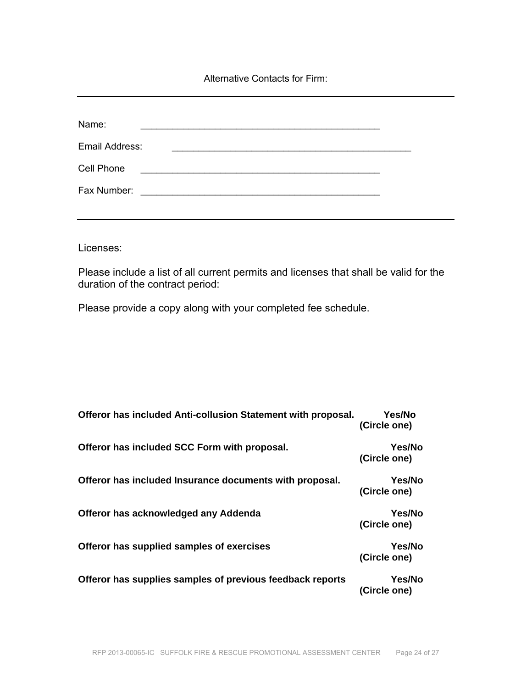Alternative Contacts for Firm:

| Name:          |                                                                                                                       |  |
|----------------|-----------------------------------------------------------------------------------------------------------------------|--|
| Email Address: |                                                                                                                       |  |
| Cell Phone     |                                                                                                                       |  |
|                | <u> 2008 - Johann Amerikaanse kommunister (</u>                                                                       |  |
| Fax Number:    | <u> 1980 - Jan Barbara, manazarta bashkar a shekara ta 1980 - An tsara tsara tsara tsara tsara tsara tsara tsara </u> |  |

Licenses:

Please include a list of all current permits and licenses that shall be valid for the duration of the contract period:

Please provide a copy along with your completed fee schedule.

| Offeror has included Anti-collusion Statement with proposal. | <b>Yes/No</b><br>(Circle one) |
|--------------------------------------------------------------|-------------------------------|
| Offeror has included SCC Form with proposal.                 | Yes/No<br>(Circle one)        |
| Offeror has included Insurance documents with proposal.      | <b>Yes/No</b><br>(Circle one) |
| Offeror has acknowledged any Addenda                         | <b>Yes/No</b><br>(Circle one) |
| Offeror has supplied samples of exercises                    | <b>Yes/No</b><br>(Circle one) |
| Offeror has supplies samples of previous feedback reports    | <b>Yes/No</b><br>(Circle one) |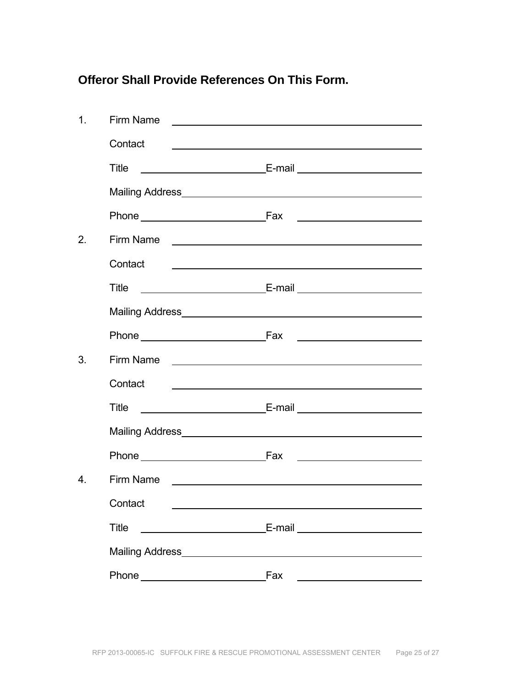### **Offeror Shall Provide References On This Form.**

| 1.               | Firm Name                                                                                                                                                                                                                           |                                                                                                                                                                                                                                      |
|------------------|-------------------------------------------------------------------------------------------------------------------------------------------------------------------------------------------------------------------------------------|--------------------------------------------------------------------------------------------------------------------------------------------------------------------------------------------------------------------------------------|
|                  | Contact                                                                                                                                                                                                                             | <u>state and the state of the state of the state of the state of the state of the state of the state of the state of the state of the state of the state of the state of the state of the state of the state of the state of the</u> |
|                  | Title                                                                                                                                                                                                                               |                                                                                                                                                                                                                                      |
|                  | Mailing Address <b>Mailing</b> Address <b>Mailing</b> Address <b>Mailing</b> Address <b>Mailing</b> Address <b>Mail Address</b>                                                                                                     |                                                                                                                                                                                                                                      |
|                  |                                                                                                                                                                                                                                     |                                                                                                                                                                                                                                      |
| 2.               | Firm Name <u>experience</u> and the series of the series of the series of the series of the series of the series of the series of the series of the series of the series of the series of the series of the series of the series of |                                                                                                                                                                                                                                      |
|                  | Contact                                                                                                                                                                                                                             | <u> 1989 - Johann Barbara, marka a shekara tsa 1989 - An tsa 1989 - An tsa 1989 - An tsa 1989 - An tsa 1989 - An</u>                                                                                                                 |
|                  | Title                                                                                                                                                                                                                               |                                                                                                                                                                                                                                      |
|                  |                                                                                                                                                                                                                                     |                                                                                                                                                                                                                                      |
|                  |                                                                                                                                                                                                                                     |                                                                                                                                                                                                                                      |
| 3.               |                                                                                                                                                                                                                                     |                                                                                                                                                                                                                                      |
|                  | Contact                                                                                                                                                                                                                             | <u> 1989 - Johann Stein, mars an deutscher Stein und der Stein und der Stein und der Stein und der Stein und der</u>                                                                                                                 |
|                  | Title                                                                                                                                                                                                                               |                                                                                                                                                                                                                                      |
|                  |                                                                                                                                                                                                                                     |                                                                                                                                                                                                                                      |
|                  | Phone Fax                                                                                                                                                                                                                           |                                                                                                                                                                                                                                      |
| $\overline{4}$ . | Firm Name<br><u> 1980 - Jan Stein, amerikan bestemannten bestemannten av den starte om det blev som blev som blev som blev s</u>                                                                                                    |                                                                                                                                                                                                                                      |
|                  | Contact __                                                                                                                                                                                                                          |                                                                                                                                                                                                                                      |
|                  | <b>Title</b>                                                                                                                                                                                                                        | E-mail _________________________                                                                                                                                                                                                     |
|                  |                                                                                                                                                                                                                                     |                                                                                                                                                                                                                                      |
|                  |                                                                                                                                                                                                                                     | Fax                                                                                                                                                                                                                                  |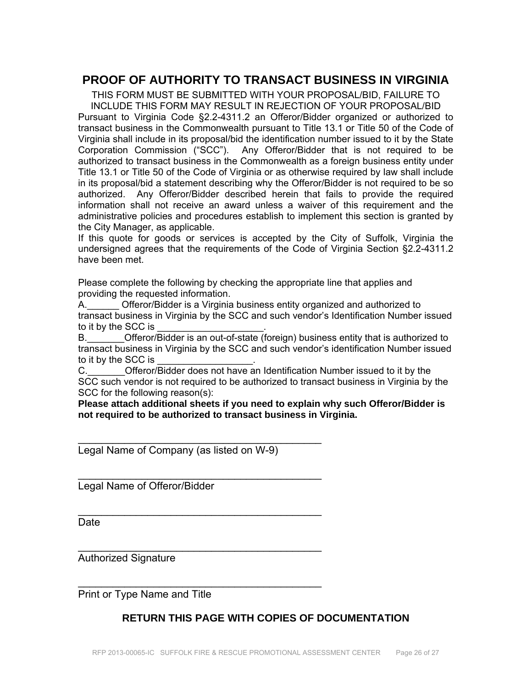### **PROOF OF AUTHORITY TO TRANSACT BUSINESS IN VIRGINIA**

THIS FORM MUST BE SUBMITTED WITH YOUR PROPOSAL/BID, FAILURE TO INCLUDE THIS FORM MAY RESULT IN REJECTION OF YOUR PROPOSAL/BID Pursuant to Virginia Code §2.2-4311.2 an Offeror/Bidder organized or authorized to transact business in the Commonwealth pursuant to Title 13.1 or Title 50 of the Code of Virginia shall include in its proposal/bid the identification number issued to it by the State Corporation Commission ("SCC"). Any Offeror/Bidder that is not required to be authorized to transact business in the Commonwealth as a foreign business entity under Title 13.1 or Title 50 of the Code of Virginia or as otherwise required by law shall include in its proposal/bid a statement describing why the Offeror/Bidder is not required to be so authorized. Any Offeror/Bidder described herein that fails to provide the required information shall not receive an award unless a waiver of this requirement and the administrative policies and procedures establish to implement this section is granted by the City Manager, as applicable.

If this quote for goods or services is accepted by the City of Suffolk, Virginia the undersigned agrees that the requirements of the Code of Virginia Section §2.2-4311.2 have been met.

Please complete the following by checking the appropriate line that applies and providing the requested information.

A. Cfferor/Bidder is a Virginia business entity organized and authorized to transact business in Virginia by the SCC and such vendor's Identification Number issued to it by the SCC is

B.\_\_\_\_\_\_\_Offeror/Bidder is an out-of-state (foreign) business entity that is authorized to transact business in Virginia by the SCC and such vendor's identification Number issued to it by the SCC is

C. C. Circle Offeror/Bidder does not have an Identification Number issued to it by the SCC such vendor is not required to be authorized to transact business in Virginia by the SCC for the following reason(s):

**Please attach additional sheets if you need to explain why such Offeror/Bidder is not required to be authorized to transact business in Virginia.** 

Legal Name of Company (as listed on W-9)

\_\_\_\_\_\_\_\_\_\_\_\_\_\_\_\_\_\_\_\_\_\_\_\_\_\_\_\_\_\_\_\_\_\_\_\_\_\_\_\_\_\_

 $\mathcal{L}_\text{max}$  , we can also assume that the contract of  $\mathcal{L}_\text{max}$ 

\_\_\_\_\_\_\_\_\_\_\_\_\_\_\_\_\_\_\_\_\_\_\_\_\_\_\_\_\_\_\_\_\_\_\_\_\_\_\_\_\_\_

 $\mathcal{L}_\text{max}$  , we can also assume that the contract of  $\mathcal{L}_\text{max}$ 

 $\mathcal{L}_\text{max}$  , we can also assume that the contract of  $\mathcal{L}_\text{max}$ 

Legal Name of Offeror/Bidder

**Date** 

Authorized Signature

Print or Type Name and Title

### **RETURN THIS PAGE WITH COPIES OF DOCUMENTATION**